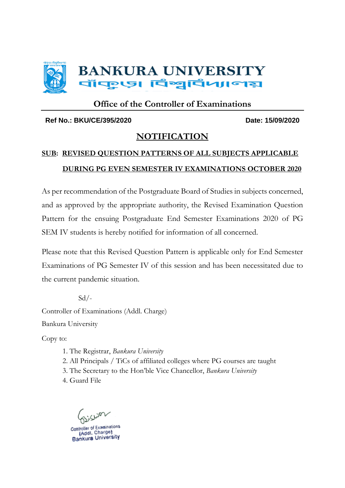

#### **Office of the Controller of Examinations**

#### **Ref No.: BKU/CE/395/2020 Date: 15/09/2020**

#### **NOTIFICATION**

#### **SUB: REVISED QUESTION PATTERNS OF ALL SUBJECTS APPLICABLE DURING PG EVEN SEMESTER IV EXAMINATIONS OCTOBER 2020**

As per recommendation of the Postgraduate Board of Studies in subjects concerned, and as approved by the appropriate authority, the Revised Examination Question Pattern for the ensuing Postgraduate End Semester Examinations 2020 of PG SEM IV students is hereby notified for information of all concerned.

Please note that this Revised Question Pattern is applicable only for End Semester Examinations of PG Semester IV of this session and has been necessitated due to the current pandemic situation.

 $Sd$  /-Controller of Examinations (Addl. Charge) Bankura University

Copy to:

- 1. The Registrar, *Bankura University*
- 2. All Principals / TiCs of affiliated colleges where PG courses are taught

3. The Secretary to the Hon'ble Vice Chancellor, *Bankura University*

4. Guard File

Controller of Examination (Addl. Charge) Bankura University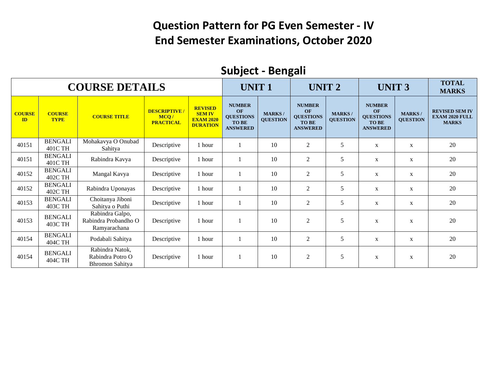#### **Question Pattern for PG Even Semester - IV End Semester Examinations, October 2020**

|                     |                              |                                                         |                                                |                                                                        |                                                                            |                                  | $\tilde{\phantom{a}}$                                                      |                                  |                                                                            |                                  |                                                                |
|---------------------|------------------------------|---------------------------------------------------------|------------------------------------------------|------------------------------------------------------------------------|----------------------------------------------------------------------------|----------------------------------|----------------------------------------------------------------------------|----------------------------------|----------------------------------------------------------------------------|----------------------------------|----------------------------------------------------------------|
|                     |                              | <b>COURSE DETAILS</b>                                   |                                                |                                                                        | <b>UNIT1</b>                                                               |                                  | <b>UNIT 2</b>                                                              |                                  | <b>UNIT 3</b>                                                              |                                  | <b>TOTAL</b><br><b>MARKS</b>                                   |
| <b>COURSE</b><br>ID | <b>COURSE</b><br><b>TYPE</b> | <b>COURSE TITLE</b>                                     | <b>DESCRIPTIVE</b><br>MCQ/<br><b>PRACTICAL</b> | <b>REVISED</b><br><b>SEM IV</b><br><b>EXAM 2020</b><br><b>DURATION</b> | <b>NUMBER</b><br>OF<br><b>QUESTIONS</b><br><b>TO BE</b><br><b>ANSWERED</b> | <b>MARKS/</b><br><b>QUESTION</b> | <b>NUMBER</b><br>OF<br><b>QUESTIONS</b><br><b>TO BE</b><br><b>ANSWERED</b> | <b>MARKS/</b><br><b>OUESTION</b> | <b>NUMBER</b><br>OF<br><b>QUESTIONS</b><br><b>TO BE</b><br><b>ANSWERED</b> | <b>MARKS/</b><br><b>OUESTION</b> | <b>REVISED SEM IV</b><br><b>EXAM 2020 FULL</b><br><b>MARKS</b> |
| 40151               | <b>BENGALI</b><br>401C TH    | Mohakavya O Onubad<br>Sahitya                           | Descriptive                                    | 1 hour                                                                 | -1                                                                         | 10                               | $\overline{2}$                                                             | 5                                | $\mathbf{X}$                                                               | $\mathbf{X}$                     | 20                                                             |
| 40151               | <b>BENGALI</b><br>401C TH    | Rabindra Kavya                                          | Descriptive                                    | 1 hour                                                                 |                                                                            | 10                               | $\overline{2}$                                                             | 5                                | $\mathbf X$                                                                | X                                | 20                                                             |
| 40152               | <b>BENGALI</b><br>402C TH    | Mangal Kavya                                            | Descriptive                                    | 1 hour                                                                 |                                                                            | 10                               | $\overline{2}$                                                             | 5                                | $\mathbf X$                                                                | $\mathbf{X}$                     | 20                                                             |
| 40152               | <b>BENGALI</b><br>402C TH    | Rabindra Uponayas                                       | Descriptive                                    | 1 hour                                                                 | $\mathbf{1}$                                                               | 10                               | $\overline{2}$                                                             | 5                                | $\mathbf{X}$                                                               | $\mathbf{X}$                     | 20                                                             |
| 40153               | <b>BENGALI</b><br>403C TH    | Choitanya Jiboni<br>Sahitya o Puthi                     | Descriptive                                    | 1 hour                                                                 | $\mathbf{1}$                                                               | 10                               | $\overline{c}$                                                             | 5                                | $\mathbf X$                                                                | X                                | 20                                                             |
| 40153               | <b>BENGALI</b><br>403C TH    | Rabindra Galpo,<br>Rabindra Probandho O<br>Ramyarachana | Descriptive                                    | 1 hour                                                                 |                                                                            | 10                               | $\overline{2}$                                                             | 5                                | $\mathbf X$                                                                | $\mathbf{X}$                     | 20                                                             |
| 40154               | <b>BENGALI</b><br>404C TH    | Podabali Sahitya                                        | Descriptive                                    | 1 hour                                                                 | $\mathbf{1}$                                                               | 10                               | $\overline{2}$                                                             | 5                                | $\mathbf{X}$                                                               | $\mathbf{X}$                     | 20                                                             |
| 40154               | <b>BENGALI</b><br>404C TH    | Rabindra Natok,<br>Rabindra Potro O<br>Bhromon Sahitya  | Descriptive                                    | 1 hour                                                                 |                                                                            | 10                               | $\overline{2}$                                                             | 5                                | $\mathbf X$                                                                | $\mathbf{X}$                     | 20                                                             |

#### **Subject - Bengali**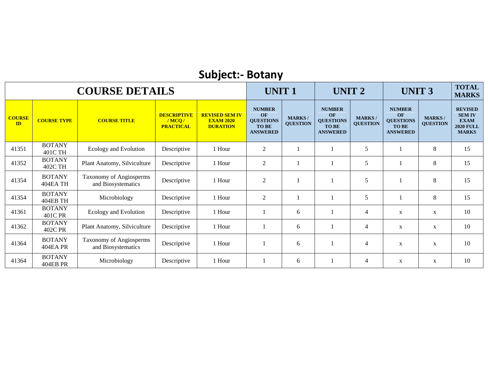# **Subject:- Botany**

|                     |                                  | <b>COURSE DETAILS</b>                         |                                                 |                                                              | <b>UNIT1</b>                                                               |                                  | UNIT <sub>2</sub>                                                          |                                  | <b>UNIT 3</b>                                                              |                                  | <b>TOTAL</b><br><b>MARKS</b>                                                       |
|---------------------|----------------------------------|-----------------------------------------------|-------------------------------------------------|--------------------------------------------------------------|----------------------------------------------------------------------------|----------------------------------|----------------------------------------------------------------------------|----------------------------------|----------------------------------------------------------------------------|----------------------------------|------------------------------------------------------------------------------------|
| <b>COURSE</b><br>ID | <b>COURSE TYPE</b>               | <b>COURSE TITLE</b>                           | <b>DESCRIPTIVE</b><br>/MCO/<br><b>PRACTICAL</b> | <b>REVISED SEM IV</b><br><b>EXAM 2020</b><br><b>DURATION</b> | <b>NUMBER</b><br>OF<br><b>QUESTIONS</b><br><b>TO BE</b><br><b>ANSWERED</b> | <b>MARKS/</b><br><b>QUESTION</b> | <b>NUMBER</b><br>OF<br><b>QUESTIONS</b><br><b>TO BE</b><br><b>ANSWERED</b> | <b>MARKS/</b><br><b>QUESTION</b> | <b>NUMBER</b><br>OF<br><b>QUESTIONS</b><br><b>TO BE</b><br><b>ANSWERED</b> | <b>MARKS/</b><br><b>QUESTION</b> | <b>REVISED</b><br><b>SEM IV</b><br><b>EXAM</b><br><b>2020 FULL</b><br><b>MARKS</b> |
| 41351               | <b>BOTANY</b><br>401C TH         | Ecology and Evolution                         | Descriptive                                     | 1 Hour                                                       | $\overline{2}$                                                             |                                  |                                                                            | 5                                |                                                                            | 8                                | 15                                                                                 |
| 41352               | <b>BOTANY</b><br>402C TH         | Plant Anatomy, Silviculture                   | Descriptive                                     | 1 Hour                                                       | $\overline{2}$                                                             |                                  |                                                                            | 5                                |                                                                            | $\,8\,$                          | 15                                                                                 |
| 41354               | <b>BOTANY</b><br>404EA TH        | Taxonomy of Angiosperms<br>and Biosystematics | Descriptive                                     | 1 Hour                                                       | $\overline{2}$                                                             |                                  |                                                                            | 5                                |                                                                            | $\,8\,$                          | 15                                                                                 |
| 41354               | <b>BOTANY</b><br>404EB TH        | Microbiology                                  | Descriptive                                     | 1 Hour                                                       | 2                                                                          |                                  |                                                                            | 5                                |                                                                            | $\,8\,$                          | 15                                                                                 |
| 41361               | <b>BOTANY</b><br>401C PR         | Ecology and Evolution                         | Descriptive                                     | 1 Hour                                                       |                                                                            | 6                                |                                                                            | $\overline{4}$                   | X                                                                          | X                                | 10                                                                                 |
| 41362               | <b>BOTANY</b><br>402C PR         | Plant Anatomy, Silviculture                   | Descriptive                                     | 1 Hour                                                       |                                                                            | 6                                |                                                                            | $\overline{4}$                   | X                                                                          | X                                | 10                                                                                 |
| 41364               | <b>BOTANY</b><br><b>404EA PR</b> | Taxonomy of Angiosperms<br>and Biosystematics | Descriptive                                     | 1 Hour                                                       |                                                                            | 6                                |                                                                            | $\overline{4}$                   | $\mathbf{X}$                                                               | X                                | 10                                                                                 |
| 41364               | <b>BOTANY</b><br><b>404EB PR</b> | Microbiology                                  | Descriptive                                     | 1 Hour                                                       |                                                                            | 6                                |                                                                            | 4                                | X                                                                          | X                                | 10                                                                                 |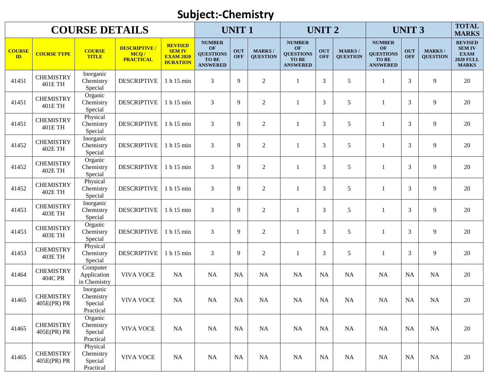#### **Subject:-Chemistry**

|                                |                                    | <b>COURSE DETAILS</b>                          |                                                  |                                                                        |                                                                            | <b>UNIT1</b>             |                                  |                                                                     | <b>UNIT 2</b>            |                                  |                                                                           | <b>UNIT 3</b>            |                                  | <b>TOTAL</b><br><b>MARKS</b>                                                       |
|--------------------------------|------------------------------------|------------------------------------------------|--------------------------------------------------|------------------------------------------------------------------------|----------------------------------------------------------------------------|--------------------------|----------------------------------|---------------------------------------------------------------------|--------------------------|----------------------------------|---------------------------------------------------------------------------|--------------------------|----------------------------------|------------------------------------------------------------------------------------|
| <b>COURSE</b><br>$\mathbf{ID}$ | <b>COURSE TYPE</b>                 | <b>COURSE</b><br><b>TITLE</b>                  | <b>DESCRIPTIVE /</b><br>MCQ/<br><b>PRACTICAL</b> | <b>REVISED</b><br><b>SEM IV</b><br><b>EXAM 2020</b><br><b>DURATION</b> | <b>NUMBER</b><br>OF<br><b>QUESTIONS</b><br><b>TO BE</b><br><b>ANSWERED</b> | <b>OUT</b><br><b>OFF</b> | <b>MARKS/</b><br><b>QUESTION</b> | <b>NUMBER</b><br>OF<br><b>QUESTIONS</b><br>TO BE<br><b>ANSWERED</b> | <b>OUT</b><br><b>OFF</b> | <b>MARKS/</b><br><b>QUESTION</b> | <b>NUMBER</b><br>OF<br><b>QUESTIONS</b><br><b>TOBE</b><br><b>ANSWERED</b> | <b>OUT</b><br><b>OFF</b> | <b>MARKS/</b><br><b>QUESTION</b> | <b>REVISED</b><br><b>SEM IV</b><br><b>EXAM</b><br><b>2020 FULL</b><br><b>MARKS</b> |
| 41451                          | <b>CHEMISTRY</b><br>401E TH        | Inorganic<br>Chemistry<br>Special              | <b>DESCRIPTIVE</b>                               | 1 h 15 min                                                             | 3                                                                          | 9                        | $\overline{2}$                   | $\mathbf{1}$                                                        | 3                        | 5                                | 1                                                                         | 3                        | 9                                | 20                                                                                 |
| 41451                          | <b>CHEMISTRY</b><br><b>401E TH</b> | Organic<br>Chemistry<br>Special                | <b>DESCRIPTIVE</b>                               | 1 h 15 min                                                             | 3                                                                          | 9                        | $\overline{2}$                   | $\mathbf{1}$                                                        | $\overline{3}$           | 5                                | $\mathbf{1}$                                                              | 3                        | 9                                | 20                                                                                 |
| 41451                          | <b>CHEMISTRY</b><br>401E TH        | Physical<br>Chemistry<br>Special               | <b>DESCRIPTIVE</b>                               | 1 h 15 min                                                             | 3                                                                          | 9                        | $\overline{2}$                   | $\mathbf{1}$                                                        | 3                        | 5                                | 1                                                                         | 3                        | $\overline{9}$                   | 20                                                                                 |
| 41452                          | <b>CHEMISTRY</b><br><b>402E TH</b> | Inorganic<br>Chemistry<br>Special              | <b>DESCRIPTIVE</b>                               | 1 h 15 min                                                             | 3                                                                          | 9                        | $\overline{2}$                   | $\mathbf{1}$                                                        | 3                        | 5                                | 1                                                                         | 3                        | 9                                | 20                                                                                 |
| 41452                          | <b>CHEMISTRY</b><br><b>402E TH</b> | Organic<br>Chemistry<br>Special                | <b>DESCRIPTIVE</b>                               | 1 h 15 min                                                             | 3                                                                          | 9                        | $\overline{2}$                   | $\mathbf{1}$                                                        | 3                        | 5                                | $\overline{1}$                                                            | 3                        | 9                                | 20                                                                                 |
| 41452                          | <b>CHEMISTRY</b><br><b>402E TH</b> | Physical<br>Chemistry<br>Special               | <b>DESCRIPTIVE</b>                               | 1 h 15 min                                                             | 3                                                                          | 9                        | $\overline{c}$                   | -1                                                                  | 3                        | 5                                | -1                                                                        | 3                        | 9                                | 20                                                                                 |
| 41453                          | <b>CHEMISTRY</b><br><b>403E TH</b> | Inorganic<br>Chemistry<br>Special              | <b>DESCRIPTIVE</b>                               | 1 h 15 min                                                             | 3                                                                          | 9                        | $\mathbf{2}$                     | -1                                                                  | 3                        | 5                                | 1                                                                         | 3                        | 9                                | 20                                                                                 |
| 41453                          | <b>CHEMISTRY</b><br>403E TH        | Organic<br>Chemistry<br>Special                | <b>DESCRIPTIVE</b>                               | 1 h 15 min                                                             | 3                                                                          | 9                        | $\overline{2}$                   | $\mathbf{1}$                                                        | 3                        | 5                                | 1                                                                         | 3                        | 9                                | 20                                                                                 |
| 41453                          | <b>CHEMISTRY</b><br><b>403E TH</b> | Physical<br>Chemistry<br>Special               | <b>DESCRIPTIVE</b>                               | 1 h 15 min                                                             | 3                                                                          | 9                        | $\overline{2}$                   | -1                                                                  | 3                        | 5                                | 1                                                                         | 3                        | $\overline{9}$                   | 20                                                                                 |
| 41464                          | <b>CHEMISTRY</b><br><b>404C PR</b> | Computer<br>Application<br>in Chemistry        | <b>VIVA VOCE</b>                                 | NA                                                                     | <b>NA</b>                                                                  | <b>NA</b>                | NA                               | <b>NA</b>                                                           | <b>NA</b>                | <b>NA</b>                        | NA                                                                        | NA                       | <b>NA</b>                        | 20                                                                                 |
| 41465                          | <b>CHEMISTRY</b><br>405E(PR) PR    | Inorganic<br>Chemistry<br>Special<br>Practical | <b>VIVA VOCE</b>                                 | <b>NA</b>                                                              | <b>NA</b>                                                                  | NA                       | NA                               | <b>NA</b>                                                           | <b>NA</b>                | <b>NA</b>                        | <b>NA</b>                                                                 | NA                       | <b>NA</b>                        | 20                                                                                 |
| 41465                          | <b>CHEMISTRY</b><br>405E(PR) PR    | Organic<br>Chemistry<br>Special<br>Practical   | <b>VIVA VOCE</b>                                 | NA                                                                     | NA                                                                         | <b>NA</b>                | NA                               | <b>NA</b>                                                           | <b>NA</b>                | NA                               | NA                                                                        | NA                       | NA                               | 20                                                                                 |
| 41465                          | <b>CHEMISTRY</b><br>405E(PR) PR    | Physical<br>Chemistry<br>Special<br>Practical  | <b>VIVA VOCE</b>                                 | NA                                                                     | NA                                                                         | <b>NA</b>                | NA                               | NA                                                                  | <b>NA</b>                | NA                               | NA                                                                        | NA                       | NA                               | 20                                                                                 |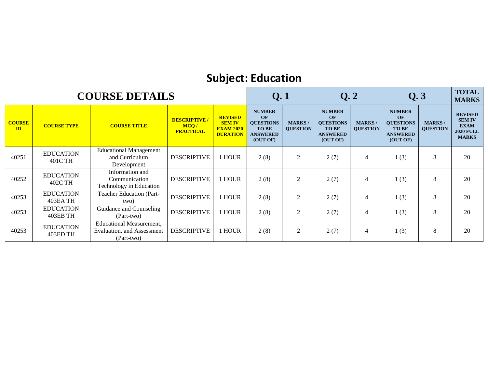#### **Subject: Education**

|                     |                              | <b>COURSE DETAILS</b>                                                               |                                                  |                                                                        | Q.1                                                                                    |                                  | Q.2                                                                                    |                                  | Q.3                                                                                    |                                  | <b>TOTAL</b><br><b>MARKS</b>                                                       |
|---------------------|------------------------------|-------------------------------------------------------------------------------------|--------------------------------------------------|------------------------------------------------------------------------|----------------------------------------------------------------------------------------|----------------------------------|----------------------------------------------------------------------------------------|----------------------------------|----------------------------------------------------------------------------------------|----------------------------------|------------------------------------------------------------------------------------|
| <b>COURSE</b><br>ID | <b>COURSE TYPE</b>           | <b>COURSE TITLE</b>                                                                 | <b>DESCRIPTIVE /</b><br>MCQ/<br><b>PRACTICAL</b> | <b>REVISED</b><br><b>SEM IV</b><br><b>EXAM 2020</b><br><b>DURATION</b> | <b>NUMBER</b><br>OF<br><b>QUESTIONS</b><br><b>TO BE</b><br><b>ANSWERED</b><br>(OUT OF) | <b>MARKS/</b><br><b>QUESTION</b> | <b>NUMBER</b><br>OF<br><b>OUESTIONS</b><br><b>TO BE</b><br><b>ANSWERED</b><br>(OUT OF) | <b>MARKS/</b><br><b>QUESTION</b> | <b>NUMBER</b><br>OF<br><b>QUESTIONS</b><br><b>TO BE</b><br><b>ANSWERED</b><br>(OUT OF) | <b>MARKS/</b><br><b>QUESTION</b> | <b>REVISED</b><br><b>SEM IV</b><br><b>EXAM</b><br><b>2020 FULL</b><br><b>MARKS</b> |
| 40251               | <b>EDUCATION</b><br>401C TH  | <b>Educational Management</b><br>and Curriculum<br>Development                      | <b>DESCRIPTIVE</b>                               | <b>I HOUR</b>                                                          | 2(8)                                                                                   | 2                                | 2(7)                                                                                   | $\overline{4}$                   | 1(3)                                                                                   | 8                                | 20                                                                                 |
| 40252               | <b>EDUCATION</b><br>402C TH  | Information and<br>Communication<br>Technology in Education                         | <b>DESCRIPTIVE</b>                               | <b>HOUR</b>                                                            | 2(8)                                                                                   | 2                                | 2(7)                                                                                   | $\overline{4}$                   | 1(3)                                                                                   | 8                                | 20                                                                                 |
| 40253               | <b>EDUCATION</b><br>403EA TH | <b>Teacher Education (Part-</b><br>two)                                             | <b>DESCRIPTIVE</b>                               | <b>HOUR</b>                                                            | 2(8)                                                                                   | 2                                | 2(7)                                                                                   | $\overline{4}$                   | 1(3)                                                                                   | 8                                | 20                                                                                 |
| 40253               | <b>EDUCATION</b><br>403EB TH | Guidance and Counseling<br>(Part-two)                                               | <b>DESCRIPTIVE</b>                               | <b>HOUR</b>                                                            | 2(8)                                                                                   | 2                                | 2(7)                                                                                   | $\overline{4}$                   | 1(3)                                                                                   | 8                                | 20                                                                                 |
| 40253               | <b>EDUCATION</b><br>403ED TH | <b>Educational Measurement,</b><br><b>Evaluation</b> , and Assessment<br>(Part-two) | <b>DESCRIPTIVE</b>                               | <b>I HOUR</b>                                                          | 2(8)                                                                                   | 2                                | 2(7)                                                                                   | 4                                | 1(3)                                                                                   | 8                                | 20                                                                                 |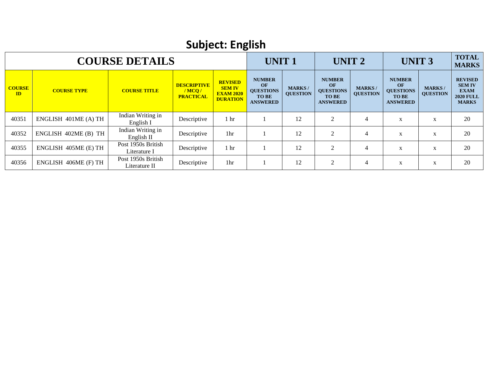| <b>Subject: English</b> |                       |                                     |                                                       |                                                                        |                                                                            |                                  |                                                                            |                                  |                                                                            |                                  |                                                                                    |  |  |
|-------------------------|-----------------------|-------------------------------------|-------------------------------------------------------|------------------------------------------------------------------------|----------------------------------------------------------------------------|----------------------------------|----------------------------------------------------------------------------|----------------------------------|----------------------------------------------------------------------------|----------------------------------|------------------------------------------------------------------------------------|--|--|
|                         | <b>COURSE DETAILS</b> |                                     | <b>UNIT1</b>                                          |                                                                        | <b>UNIT 2</b>                                                              |                                  | <b>UNIT 3</b>                                                              |                                  | <b>TOTAL</b><br><b>MARKS</b>                                               |                                  |                                                                                    |  |  |
| <b>COURSE</b><br>ID     | <b>COURSE TYPE</b>    | <b>COURSE TITLE</b>                 | <b>DESCRIPTIVE</b><br>$/$ MCQ $/$<br><b>PRACTICAL</b> | <b>REVISED</b><br><b>SEM IV</b><br><b>EXAM 2020</b><br><b>DURATION</b> | <b>NUMBER</b><br>OF<br><b>QUESTIONS</b><br><b>TO BE</b><br><b>ANSWERED</b> | <b>MARKS/</b><br><b>QUESTION</b> | <b>NUMBER</b><br>OF<br><b>QUESTIONS</b><br><b>TO BE</b><br><b>ANSWERED</b> | <b>MARKS/</b><br><b>QUESTION</b> | <b>NUMBER</b><br>OF<br><b>QUESTIONS</b><br><b>TO BE</b><br><b>ANSWERED</b> | <b>MARKS/</b><br><b>QUESTION</b> | <b>REVISED</b><br><b>SEM IV</b><br><b>EXAM</b><br><b>2020 FULL</b><br><b>MARKS</b> |  |  |
| 40351                   | ENGLISH 401ME (A) TH  | Indian Writing in<br>English I      | Descriptive                                           | 1 hr                                                                   |                                                                            | 12                               | 2                                                                          | $\overline{4}$                   | X                                                                          | X                                | 20                                                                                 |  |  |
| 40352                   | ENGLISH 402ME (B) TH  | Indian Writing in<br>English II     | Descriptive                                           | 1hr                                                                    |                                                                            | 12                               | 2                                                                          | $\overline{4}$                   | X                                                                          | X                                | 20                                                                                 |  |  |
| 40355                   | ENGLISH 405ME (E) TH  | Post 1950s British<br>Literature I  | Descriptive                                           | 1 <sub>hr</sub>                                                        |                                                                            | 12                               | $\overline{2}$                                                             | $\overline{4}$                   | X                                                                          | $\mathbf X$                      | 20                                                                                 |  |  |
| 40356                   | ENGLISH 406ME (F) TH  | Post 1950s British<br>Literature II | Descriptive                                           | 1hr                                                                    |                                                                            | 12                               | $\overline{c}$                                                             | $\overline{4}$                   | X                                                                          | X                                | 20                                                                                 |  |  |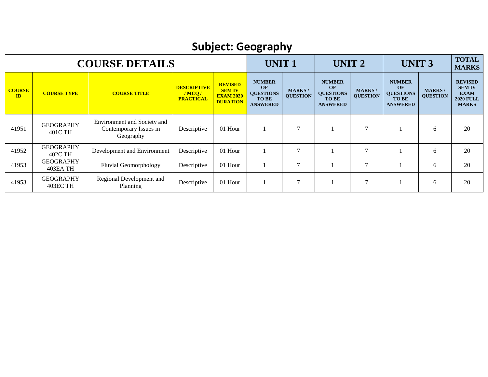# **Subject: Geography**

|                               |                              | <b>COURSE DETAILS</b>                                              |                                                 |                                                                        | <b>UNIT1</b>                                                               |                                  | UNIT <sub>2</sub>                                                          |                                  | <b>UNIT 3</b>                                                                     |                                  | <b>TOTAL</b><br><b>MARKS</b>                                                       |
|-------------------------------|------------------------------|--------------------------------------------------------------------|-------------------------------------------------|------------------------------------------------------------------------|----------------------------------------------------------------------------|----------------------------------|----------------------------------------------------------------------------|----------------------------------|-----------------------------------------------------------------------------------|----------------------------------|------------------------------------------------------------------------------------|
| <b>COURSE</b><br>$\mathbf{D}$ | <b>COURSE TYPE</b>           | <b>COURSE TITLE</b>                                                | <b>DESCRIPTIVE</b><br>/MCO/<br><b>PRACTICAL</b> | <b>REVISED</b><br><b>SEM IV</b><br><b>EXAM 2020</b><br><b>DURATION</b> | <b>NUMBER</b><br>OF<br><b>QUESTIONS</b><br><b>TO BE</b><br><b>ANSWERED</b> | <b>MARKS/</b><br><b>QUESTION</b> | <b>NUMBER</b><br>OF<br><b>QUESTIONS</b><br><b>TO BE</b><br><b>ANSWERED</b> | <b>MARKS/</b><br><b>QUESTION</b> | <b>NUMBER</b><br><b>OF</b><br><b>QUESTIONS</b><br><b>TO BE</b><br><b>ANSWERED</b> | <b>MARKS/</b><br><b>QUESTION</b> | <b>REVISED</b><br><b>SEM IV</b><br><b>EXAM</b><br><b>2020 FULL</b><br><b>MARKS</b> |
| 41951                         | <b>GEOGRAPHY</b><br>401C TH  | Environment and Society and<br>Contemporary Issues in<br>Geography | Descriptive                                     | 01 Hour                                                                |                                                                            | $\mathcal{I}$                    |                                                                            | $\overline{7}$                   |                                                                                   | 6                                | 20                                                                                 |
| 41952                         | <b>GEOGRAPHY</b><br>402C TH  | Development and Environment                                        | Descriptive                                     | 01 Hour                                                                |                                                                            |                                  |                                                                            | $\mathcal{I}$                    |                                                                                   | 6                                | 20                                                                                 |
| 41953                         | <b>GEOGRAPHY</b><br>403EA TH | <b>Fluvial Geomorphology</b>                                       | Descriptive                                     | 01 Hour                                                                |                                                                            | 7                                |                                                                            | $\overline{7}$                   |                                                                                   | 6                                | 20                                                                                 |
| 41953                         | <b>GEOGRAPHY</b><br>403EC TH | Regional Development and<br>Planning                               | Descriptive                                     | 01 Hour                                                                |                                                                            | 7                                |                                                                            | $\mathcal{I}$                    |                                                                                   | 6                                | 20                                                                                 |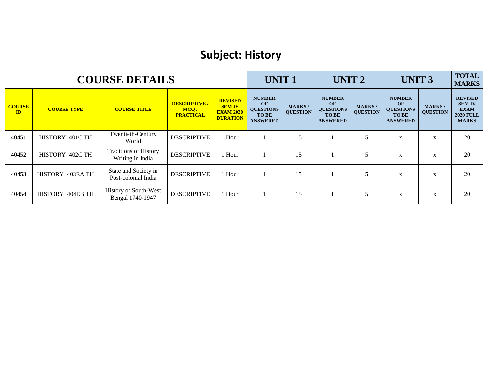#### **Subject: History**

|                     |                    | <b>COURSE DETAILS</b>                            |                                                 |                                                                        | <b>UNIT1</b>                                                        |                                  | UNIT <sub>2</sub>                                                   |                                  | <b>UNIT 3</b>                                                              |                                  | <b>TOTAL</b><br><b>MARKS</b>                                                       |
|---------------------|--------------------|--------------------------------------------------|-------------------------------------------------|------------------------------------------------------------------------|---------------------------------------------------------------------|----------------------------------|---------------------------------------------------------------------|----------------------------------|----------------------------------------------------------------------------|----------------------------------|------------------------------------------------------------------------------------|
| <b>COURSE</b><br>ID | <b>COURSE TYPE</b> | <b>COURSE TITLE</b>                              | <b>DESCRIPTIVE/</b><br>MCQ/<br><b>PRACTICAL</b> | <b>REVISED</b><br><b>SEM IV</b><br><b>EXAM 2020</b><br><b>DURATION</b> | <b>NUMBER</b><br>OF<br><b>QUESTIONS</b><br>TO BE<br><b>ANSWERED</b> | <b>MARKS/</b><br><b>OUESTION</b> | <b>NUMBER</b><br>OF<br><b>QUESTIONS</b><br>TO BE<br><b>ANSWERED</b> | <b>MARKS/</b><br><b>QUESTION</b> | <b>NUMBER</b><br>OF<br><b>QUESTIONS</b><br><b>TO BE</b><br><b>ANSWERED</b> | <b>MARKS/</b><br><b>OUESTION</b> | <b>REVISED</b><br><b>SEM IV</b><br><b>EXAM</b><br><b>2020 FULL</b><br><b>MARKS</b> |
| 40451               | HISTORY 401C TH    | Twentieth-Century<br>World                       | <b>DESCRIPTIVE</b>                              | 1 Hour                                                                 |                                                                     | 15                               |                                                                     | 5                                | X                                                                          | X                                | 20                                                                                 |
| 40452               | HISTORY 402C TH    | <b>Traditions of History</b><br>Writing in India | <b>DESCRIPTIVE</b>                              | 1 Hour                                                                 |                                                                     | 15                               |                                                                     | 5                                | X                                                                          | X                                | 20                                                                                 |
| 40453               | HISTORY 403EA TH   | State and Society in<br>Post-colonial India      | <b>DESCRIPTIVE</b>                              | 1 Hour                                                                 |                                                                     | 15                               |                                                                     | 5                                | X                                                                          | X                                | 20                                                                                 |
| 40454               | HISTORY 404EB TH   | History of South-West<br>Bengal 1740-1947        | <b>DESCRIPTIVE</b>                              | 1 Hour                                                                 |                                                                     | 15                               |                                                                     | 5                                | X                                                                          | X                                | 20                                                                                 |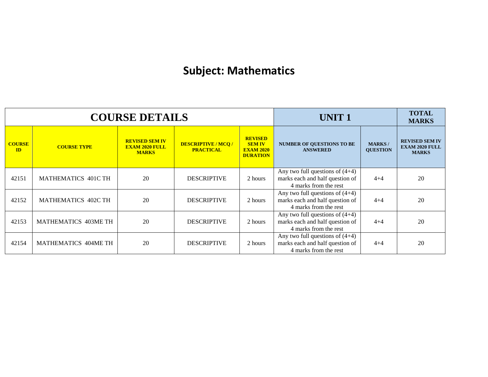#### **Subject: Mathematics**

|                     |                                                  | <b>COURSE DETAILS</b>                                          |                                                |                                                                        | UNIT <sub>1</sub>                                                                             |                                  | <b>TOTAL</b><br><b>MARKS</b>                                   |
|---------------------|--------------------------------------------------|----------------------------------------------------------------|------------------------------------------------|------------------------------------------------------------------------|-----------------------------------------------------------------------------------------------|----------------------------------|----------------------------------------------------------------|
| <b>COURSE</b><br>ID | <b>COURSE TYPE</b>                               | <b>REVISED SEM IV</b><br><b>EXAM 2020 FULL</b><br><b>MARKS</b> | <b>DESCRIPTIVE / MCQ /</b><br><b>PRACTICAL</b> | <b>REVISED</b><br><b>SEM IV</b><br><b>EXAM 2020</b><br><b>DURATION</b> | <b>NUMBER OF QUESTIONS TO BE</b><br><b>ANSWERED</b>                                           | <b>MARKS/</b><br><b>OUESTION</b> | <b>REVISED SEM IV</b><br><b>EXAM 2020 FULL</b><br><b>MARKS</b> |
| 42151               | MATHEMATICS 401C TH                              | 20                                                             | <b>DESCRIPTIVE</b>                             | 2 hours                                                                | Any two full questions of $(4+4)$<br>marks each and half question of<br>4 marks from the rest | $4 + 4$                          | 20                                                             |
| 42152               | 20<br><b>MATHEMATICS 402C TH</b>                 |                                                                | <b>DESCRIPTIVE</b>                             | 2 hours                                                                | Any two full questions of $(4+4)$<br>marks each and half question of<br>4 marks from the rest | $4 + 4$                          | 20                                                             |
| 42153               | 20<br>MATHEMATICS 403ME TH<br><b>DESCRIPTIVE</b> |                                                                |                                                | 2 hours                                                                | Any two full questions of $(4+4)$<br>marks each and half question of<br>4 marks from the rest | $4 + 4$                          | 20                                                             |
| 42154               | <b>MATHEMATICS 404ME TH</b>                      | 20                                                             | <b>DESCRIPTIVE</b>                             | 2 hours                                                                | Any two full questions of $(4+4)$<br>marks each and half question of<br>4 marks from the rest | $4 + 4$                          | 20                                                             |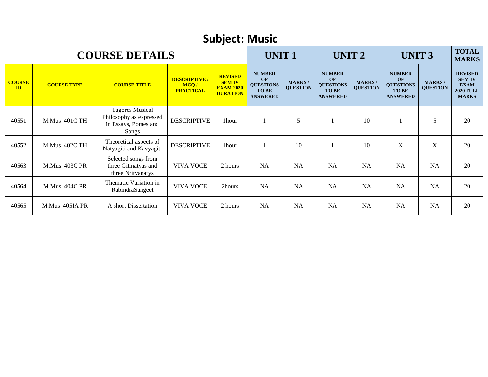|                     | <b>Subject: Music</b> |                                                                                    |                                                  |                                                                        |                                                                                   |                                  |                                                                            |                                   |                                                                            |                                  |                                                                                    |  |  |  |
|---------------------|-----------------------|------------------------------------------------------------------------------------|--------------------------------------------------|------------------------------------------------------------------------|-----------------------------------------------------------------------------------|----------------------------------|----------------------------------------------------------------------------|-----------------------------------|----------------------------------------------------------------------------|----------------------------------|------------------------------------------------------------------------------------|--|--|--|
|                     |                       | <b>COURSE DETAILS</b>                                                              |                                                  |                                                                        | <b>UNIT1</b>                                                                      |                                  | <b>UNIT 2</b>                                                              |                                   | <b>UNIT 3</b>                                                              |                                  | <b>TOTAL</b><br><b>MARKS</b>                                                       |  |  |  |
| <b>COURSE</b><br>ID | <b>COURSE TYPE</b>    | <b>COURSE TITLE</b>                                                                | <b>DESCRIPTIVE /</b><br>MCQ/<br><b>PRACTICAL</b> | <b>REVISED</b><br><b>SEM IV</b><br><b>EXAM 2020</b><br><b>DURATION</b> | <b>NUMBER</b><br><b>OF</b><br><b>QUESTIONS</b><br><b>TO BE</b><br><b>ANSWERED</b> | <b>MARKS/</b><br><b>QUESTION</b> | <b>NUMBER</b><br>OF<br><b>QUESTIONS</b><br><b>TO BE</b><br><b>ANSWERED</b> | <b>MARKS</b> /<br><b>QUESTION</b> | <b>NUMBER</b><br>OF<br><b>QUESTIONS</b><br><b>TO BE</b><br><b>ANSWERED</b> | <b>MARKS/</b><br><b>QUESTION</b> | <b>REVISED</b><br><b>SEM IV</b><br><b>EXAM</b><br><b>2020 FULL</b><br><b>MARKS</b> |  |  |  |
| 40551               | M.Mus 401C TH         | <b>Tagores Musical</b><br>Philosophy as expressed<br>in Essays, Pomes and<br>Songs | <b>DESCRIPTIVE</b>                               | 1hour                                                                  |                                                                                   | 5                                |                                                                            | 10                                |                                                                            | 5                                | 20                                                                                 |  |  |  |
| 40552               | M.Mus 402C TH         | Theoretical aspects of<br>Natyagiti and Kavyagiti                                  | <b>DESCRIPTIVE</b>                               | 1hour                                                                  |                                                                                   | 10                               |                                                                            | 10                                | $\mathbf X$                                                                | $\mathbf X$                      | 20                                                                                 |  |  |  |
| 40563               | M.Mus 403C PR         | Selected songs from<br>three Gitinatyas and<br>three Nrityanatys                   | <b>VIVA VOCE</b>                                 | 2 hours                                                                | <b>NA</b>                                                                         | <b>NA</b>                        | <b>NA</b>                                                                  | <b>NA</b>                         | <b>NA</b>                                                                  | <b>NA</b>                        | 20                                                                                 |  |  |  |
| 40564               | M.Mus 404C PR         | Thematic Variation in<br>RabindraSangeet                                           | <b>VIVA VOCE</b>                                 | 2hours                                                                 | <b>NA</b>                                                                         | <b>NA</b>                        | <b>NA</b>                                                                  | <b>NA</b>                         | <b>NA</b>                                                                  | <b>NA</b>                        | 20                                                                                 |  |  |  |
| 40565               | M.Mus 405IA PR        | A short Dissertation                                                               | <b>VIVA VOCE</b>                                 | 2 hours                                                                | <b>NA</b>                                                                         | <b>NA</b>                        | <b>NA</b>                                                                  | <b>NA</b>                         | <b>NA</b>                                                                  | NA                               | 20                                                                                 |  |  |  |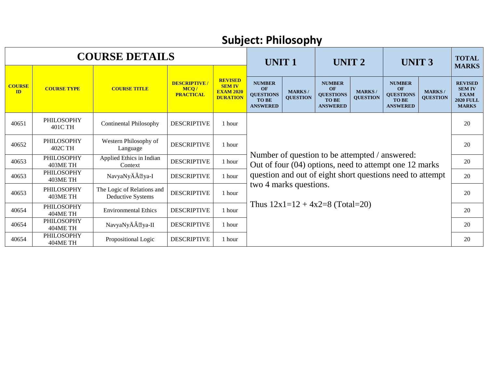|                               |                               | <b>COURSE DETAILS</b>                                  |                                                 |                                                                        | <b>UNIT1</b>                                                               |                                  | <b>UNIT 2</b>                                                                                            |                                  | <b>UNIT 3</b>                                                              |                                  | <b>TOTAL</b><br><b>MARKS</b>                                                       |  |  |  |
|-------------------------------|-------------------------------|--------------------------------------------------------|-------------------------------------------------|------------------------------------------------------------------------|----------------------------------------------------------------------------|----------------------------------|----------------------------------------------------------------------------------------------------------|----------------------------------|----------------------------------------------------------------------------|----------------------------------|------------------------------------------------------------------------------------|--|--|--|
| <b>COURSE</b><br>$\mathbf{D}$ | <b>COURSE TYPE</b>            | <b>COURSE TITLE</b>                                    | <b>DESCRIPTIVE/</b><br>MCO/<br><b>PRACTICAL</b> | <b>REVISED</b><br><b>SEM IV</b><br><b>EXAM 2020</b><br><b>DURATION</b> | <b>NUMBER</b><br>OF<br><b>QUESTIONS</b><br><b>TO BE</b><br><b>ANSWERED</b> | <b>MARKS/</b><br><b>QUESTION</b> | <b>NUMBER</b><br>OF<br><b>QUESTIONS</b><br><b>TO BE</b><br><b>ANSWERED</b>                               | <b>MARKS/</b><br><b>QUESTION</b> | <b>NUMBER</b><br>OF<br><b>QUESTIONS</b><br><b>TO BE</b><br><b>ANSWERED</b> | <b>MARKS/</b><br><b>QUESTION</b> | <b>REVISED</b><br><b>SEM IV</b><br><b>EXAM</b><br><b>2020 FULL</b><br><b>MARKS</b> |  |  |  |
| 40651                         | PHILOSOPHY<br>401C TH         | <b>Continental Philosophy</b>                          | <b>DESCRIPTIVE</b>                              | 1 hour                                                                 |                                                                            |                                  |                                                                                                          |                                  |                                                                            |                                  | 20                                                                                 |  |  |  |
| 40652                         | <b>PHILOSOPHY</b><br>402C TH  | Western Philosophy of<br>Language                      | <b>DESCRIPTIVE</b>                              | 1 hour                                                                 |                                                                            |                                  |                                                                                                          |                                  |                                                                            |                                  |                                                                                    |  |  |  |
| 40653                         | PHILOSOPHY<br>403ME TH        | Applied Ethics in Indian<br>Context                    | <b>DESCRIPTIVE</b>                              | 1 hour                                                                 |                                                                            |                                  | Number of question to be attempted / answered:<br>Out of four (04) options, need to attempt one 12 marks |                                  |                                                                            |                                  | 20                                                                                 |  |  |  |
| 40653                         | <b>PHILOSOPHY</b><br>403ME TH | NavyaNyĕ ya-I                                          | <b>DESCRIPTIVE</b>                              | 1 hour                                                                 |                                                                            |                                  | question and out of eight short questions need to attempt                                                |                                  |                                                                            |                                  | 20                                                                                 |  |  |  |
| 40653                         | PHILOSOPHY<br>403ME TH        | The Logic of Relations and<br><b>Deductive Systems</b> | <b>DESCRIPTIVE</b>                              | 1 hour                                                                 | two 4 marks questions.                                                     |                                  |                                                                                                          |                                  |                                                                            |                                  | 20                                                                                 |  |  |  |
| 40654                         | PHILOSOPHY<br>404ME TH        | <b>Environmental Ethics</b>                            | <b>DESCRIPTIVE</b>                              | 1 hour                                                                 | Thus $12x1=12 + 4x2=8$ (Total=20)                                          |                                  |                                                                                                          |                                  |                                                                            |                                  |                                                                                    |  |  |  |
| 40654                         | <b>PHILOSOPHY</b><br>404ME TH | NavyaNyĕ ya-II                                         | <b>DESCRIPTIVE</b>                              | 1 hour                                                                 |                                                                            |                                  |                                                                                                          |                                  |                                                                            |                                  |                                                                                    |  |  |  |
| 40654                         | <b>PHILOSOPHY</b><br>404ME TH | Propositional Logic                                    | <b>DESCRIPTIVE</b>                              | 1 hour                                                                 |                                                                            |                                  |                                                                                                          |                                  |                                                                            |                                  | 20                                                                                 |  |  |  |

#### **Subject: Philosophy**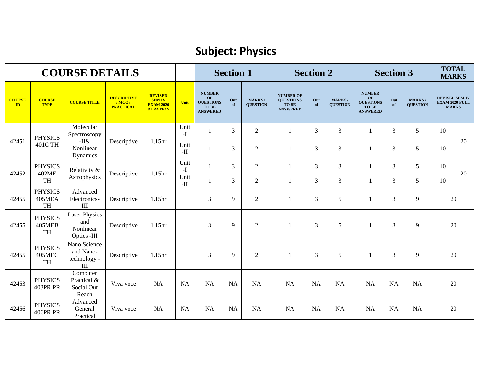#### **Subject: Physics**

|                                |                                              | <b>COURSE DETAILS</b>                                   |                                                 |                                                                        |                         |                                                                            | <b>Section 1</b> |                                  |                                                                  | <b>Section 2</b> |                                  |                                                                            | <b>Section 3</b> |                                  |    | <b>TOTAL</b><br><b>MARKS</b>                                   |
|--------------------------------|----------------------------------------------|---------------------------------------------------------|-------------------------------------------------|------------------------------------------------------------------------|-------------------------|----------------------------------------------------------------------------|------------------|----------------------------------|------------------------------------------------------------------|------------------|----------------------------------|----------------------------------------------------------------------------|------------------|----------------------------------|----|----------------------------------------------------------------|
| <b>COURSE</b><br>$\mathbf{ID}$ | <b>COURSE</b><br><b>TYPE</b>                 | <b>COURSE TITLE</b>                                     | <b>DESCRIPTIVE</b><br>/MCO/<br><b>PRACTICAL</b> | <b>REVISED</b><br><b>SEM IV</b><br><b>EXAM 2020</b><br><b>DURATION</b> | Unit                    | <b>NUMBER</b><br><b>OF</b><br><b>QUESTIONS</b><br>TO BE<br><b>ANSWERED</b> | Out<br>of        | <b>MARKS/</b><br><b>OUESTION</b> | <b>NUMBER OF</b><br><b>QUESTIONS</b><br>TO BE<br><b>ANSWERED</b> | Out<br>of        | <b>MARKS/</b><br><b>QUESTION</b> | <b>NUMBER</b><br>OF<br><b>OUESTIONS</b><br><b>TO BE</b><br><b>ANSWERED</b> | Out<br>of        | <b>MARKS/</b><br><b>QUESTION</b> |    | <b>REVISED SEM IV</b><br><b>EXAM 2020 FULL</b><br><b>MARKS</b> |
|                                | <b>PHYSICS</b>                               | Molecular<br>Spectroscopy                               |                                                 |                                                                        | Unit<br>$-I$            | 1                                                                          | $\overline{3}$   | $\boldsymbol{2}$                 | 1                                                                | 3                | 3                                | 1                                                                          | 3                | 5                                | 10 |                                                                |
| 42451                          | 401C TH                                      | -II&<br>Nonlinear<br>Dynamics                           | Descriptive                                     | 1.15 <sub>hr</sub>                                                     | Unit<br>$\rm H$ -       | 1                                                                          | 3                | $\overline{2}$                   | $\mathbf{1}$                                                     | 3                | 3                                | $\mathbf{1}$                                                               | $\overline{3}$   | 5                                | 10 | 20                                                             |
| 42452                          | <b>PHYSICS</b><br>402ME                      | Relativity &                                            | Descriptive                                     | 1.15hr                                                                 | Unit<br>$-I$            | $\mathbf{1}$                                                               | 3                | $\boldsymbol{2}$                 | 1                                                                | 3                | $\overline{3}$                   | 1                                                                          | 3                | 5                                | 10 | 20                                                             |
|                                | TH                                           | Astrophysics                                            |                                                 |                                                                        | Unit<br>$\mathbf{-}\Pi$ |                                                                            | 3                | $\overline{2}$                   | $\mathbf{1}$                                                     | 3                | 3                                | 1                                                                          | 3                | 5                                | 10 |                                                                |
| 42455                          | <b>PHYSICS</b><br>405MEA<br><b>TH</b>        | Advanced<br>Electronics-<br>III                         | Descriptive                                     | 1.15 <sub>hr</sub>                                                     |                         | 3                                                                          | 9                | $\overline{2}$                   |                                                                  | 3                | 5                                | 1                                                                          | 3                | $\overline{9}$                   |    | 20                                                             |
| 42455                          | <b>PHYSICS</b><br><b>405MEB</b><br><b>TH</b> | <b>Laser Physics</b><br>and<br>Nonlinear<br>Optics -III | Descriptive                                     | 1.15hr                                                                 |                         | $\mathfrak{Z}$                                                             | 9                | $\overline{2}$                   |                                                                  | 3                | 5                                | $\mathbf{1}$                                                               | 3                | 9                                |    | $20\,$                                                         |
| 42455                          | <b>PHYSICS</b><br><b>405MEC</b><br><b>TH</b> | Nano Science<br>and Nano-<br>technology -<br>III        | Descriptive                                     | 1.15hr                                                                 |                         | 3                                                                          | 9                | $\overline{2}$                   |                                                                  | 3                | 5                                | -1                                                                         | 3                | 9                                |    | 20                                                             |
| 42463                          | <b>PHYSICS</b><br><b>403PR PR</b>            | Computer<br>Practical &<br>Social Out<br>Reach          | Viva voce                                       | <b>NA</b>                                                              | <b>NA</b>               | <b>NA</b>                                                                  | NA               | <b>NA</b>                        | <b>NA</b>                                                        | <b>NA</b>        | NA                               | <b>NA</b>                                                                  | <b>NA</b>        | NA                               | 20 |                                                                |
| 42466                          | <b>PHYSICS</b><br><b>406PR PR</b>            | Advanced<br>General<br>Practical                        | Viva voce                                       | <b>NA</b>                                                              | <b>NA</b>               | NA                                                                         | <b>NA</b>        | <b>NA</b>                        | <b>NA</b>                                                        | <b>NA</b>        | NA                               | <b>NA</b>                                                                  | <b>NA</b>        | NA                               |    | 20                                                             |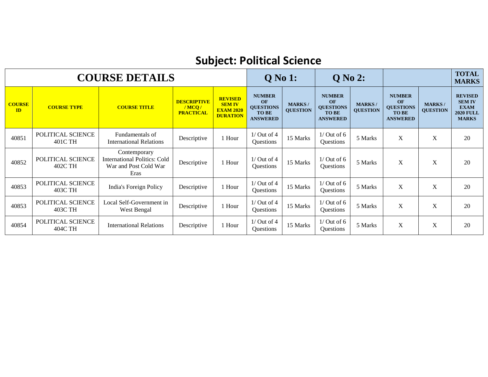# **Subject: Political Science**

|                     |                              | <b>COURSE DETAILS</b>                                                         |                                                 |                                                                        | <b>Q</b> No 1:                                                             |                                  | <b>Q</b> No 2:                                                             |                                 |                                                                            |                                  | <b>TOTAL</b><br><b>MARKS</b>                                                       |
|---------------------|------------------------------|-------------------------------------------------------------------------------|-------------------------------------------------|------------------------------------------------------------------------|----------------------------------------------------------------------------|----------------------------------|----------------------------------------------------------------------------|---------------------------------|----------------------------------------------------------------------------|----------------------------------|------------------------------------------------------------------------------------|
| <b>COURSE</b><br>ID | <b>COURSE TYPE</b>           | <b>COURSE TITLE</b>                                                           | <b>DESCRIPTIVE</b><br>/MCO/<br><b>PRACTICAL</b> | <b>REVISED</b><br><b>SEM IV</b><br><b>EXAM 2020</b><br><b>DURATION</b> | <b>NUMBER</b><br>OF<br><b>QUESTIONS</b><br><b>TO BE</b><br><b>ANSWERED</b> | <b>MARKS/</b><br><b>QUESTION</b> | <b>NUMBER</b><br>OF<br><b>QUESTIONS</b><br><b>TO BE</b><br><b>ANSWERED</b> | <b>MARKS</b><br><b>QUESTION</b> | <b>NUMBER</b><br>OF<br><b>QUESTIONS</b><br><b>TO BE</b><br><b>ANSWERED</b> | <b>MARKS/</b><br><b>OUESTION</b> | <b>REVISED</b><br><b>SEM IV</b><br><b>EXAM</b><br><b>2020 FULL</b><br><b>MARKS</b> |
| 40851               | POLITICAL SCIENCE<br>401C TH | Fundamentals of<br><b>International Relations</b>                             | Descriptive                                     | 1 Hour                                                                 | $1/$ Out of 4<br>Questions                                                 | 15 Marks                         | $1/$ Out of 6<br>Questions                                                 | 5 Marks                         | X                                                                          | X                                | 20                                                                                 |
| 40852               | POLITICAL SCIENCE<br>402C TH | Contemporary<br>International Politics: Cold<br>War and Post Cold War<br>Eras | Descriptive                                     | 1 Hour                                                                 | $1/$ Out of 4<br><b>Ouestions</b>                                          | 15 Marks                         | $1/$ Out of 6<br>Questions                                                 | 5 Marks                         | $\mathbf{X}$                                                               | X                                | 20                                                                                 |
| 40853               | POLITICAL SCIENCE<br>403C TH | India's Foreign Policy                                                        | Descriptive                                     | 1 Hour                                                                 | $1/$ Out of 4<br><b>Ouestions</b>                                          | 15 Marks                         | $1/$ Out of 6<br>Questions                                                 | 5 Marks                         | X                                                                          | X                                | 20                                                                                 |
| 40853               | POLITICAL SCIENCE<br>403C TH | Local Self-Government in<br>West Bengal                                       | Descriptive                                     | 1 Hour                                                                 | $1/$ Out of 4<br>Questions                                                 | 15 Marks                         | $1/$ Out of 6<br>Questions                                                 | 5 Marks                         | X                                                                          | $\mathbf X$                      | 20                                                                                 |
| 40854               | POLITICAL SCIENCE<br>404C TH | <b>International Relations</b>                                                | Descriptive                                     | 1 Hour                                                                 | $1/$ Out of 4<br><b>Ouestions</b>                                          | 15 Marks                         | $1/$ Out of 6<br>Questions                                                 | 5 Marks                         | X                                                                          | X                                | 20                                                                                 |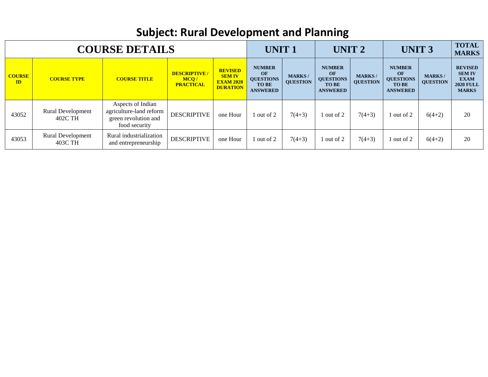# **Subject: Rural Development and Planning**

| <b>COURSE DETAILS</b> |                                     |                                                                                       |                                                 |                                                                        | <b>UNIT1</b>                                                               |                                  | UNIT <sub>2</sub>                                                          |                                  | <b>UNIT 3</b>                                                              |                                  | <b>TOTAL</b><br><b>MARKS</b>                                                       |
|-----------------------|-------------------------------------|---------------------------------------------------------------------------------------|-------------------------------------------------|------------------------------------------------------------------------|----------------------------------------------------------------------------|----------------------------------|----------------------------------------------------------------------------|----------------------------------|----------------------------------------------------------------------------|----------------------------------|------------------------------------------------------------------------------------|
| <b>COURSE</b><br>ID   | <b>COURSE TYPE</b>                  | <b>COURSE TITLE</b>                                                                   | <b>DESCRIPTIVE/</b><br>MCQ/<br><b>PRACTICAL</b> | <b>REVISED</b><br><b>SEM IV</b><br><b>EXAM 2020</b><br><b>DURATION</b> | <b>NUMBER</b><br>OF<br><b>OUESTIONS</b><br><b>TO BE</b><br><b>ANSWERED</b> | <b>MARKS/</b><br><b>OUESTION</b> | <b>NUMBER</b><br>OF<br><b>QUESTIONS</b><br><b>TO BE</b><br><b>ANSWERED</b> | <b>MARKS/</b><br><b>OUESTION</b> | <b>NUMBER</b><br>OF<br><b>QUESTIONS</b><br><b>TO BE</b><br><b>ANSWERED</b> | <b>MARKS/</b><br><b>QUESTION</b> | <b>REVISED</b><br><b>SEM IV</b><br><b>EXAM</b><br><b>2020 FULL</b><br><b>MARKS</b> |
| 43052                 | <b>Rural Development</b><br>402C TH | Aspects of Indian<br>agriculture-land reform<br>green revolution and<br>food security | <b>DESCRIPTIVE</b>                              | one Hour                                                               | 1 out of 2                                                                 | $7(4+3)$                         | 1 out of 2                                                                 | $7(4+3)$                         | 1 out of 2                                                                 | $6(4+2)$                         | 20                                                                                 |
| 43053                 | <b>Rural Development</b><br>403C TH | Rural industrialization<br>and entrepreneurship                                       | <b>DESCRIPTIVE</b>                              | one Hour                                                               | 1 out of 2                                                                 | $7(4+3)$                         | 1 out of 2                                                                 | $7(4+3)$                         | 1 out of 2                                                                 | $6(4+2)$                         | 20                                                                                 |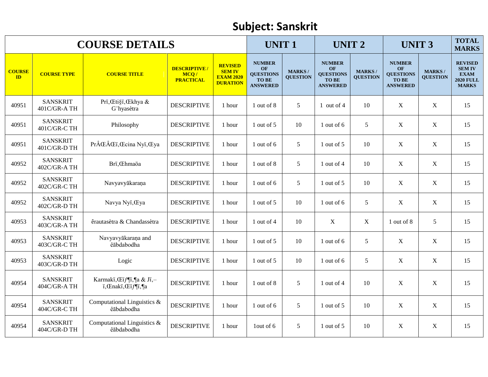#### **Subject: Sanskrit**

| <b>COURSE DETAILS</b> |                                 |                                                  |                                                  |                                                                        |                                                                                   | <b>UNIT1</b>                     |                                                                            | <b>UNIT 2</b>                    |                                                                            | <b>UNIT3</b>                     |                                                                                    |
|-----------------------|---------------------------------|--------------------------------------------------|--------------------------------------------------|------------------------------------------------------------------------|-----------------------------------------------------------------------------------|----------------------------------|----------------------------------------------------------------------------|----------------------------------|----------------------------------------------------------------------------|----------------------------------|------------------------------------------------------------------------------------|
| <b>COURSE</b><br>ID   | <b>COURSE TYPE</b>              | <b>COURSE TITLE</b>                              | <b>DESCRIPTIVE /</b><br>MCQ/<br><b>PRACTICAL</b> | <b>REVISED</b><br><b>SEM IV</b><br><b>EXAM 2020</b><br><b>DURATION</b> | <b>NUMBER</b><br><b>OF</b><br><b>QUESTIONS</b><br><b>TO BE</b><br><b>ANSWERED</b> | <b>MARKS/</b><br><b>QUESTION</b> | <b>NUMBER</b><br>OF<br><b>QUESTIONS</b><br><b>TO BE</b><br><b>ANSWERED</b> | <b>MARKS/</b><br><b>QUESTION</b> | <b>NUMBER</b><br>OF<br><b>QUESTIONS</b><br><b>TO BE</b><br><b>ANSWERED</b> | <b>MARKS/</b><br><b>OUESTION</b> | <b>REVISED</b><br><b>SEM IV</b><br><b>EXAM</b><br><b>2020 FULL</b><br><b>MARKS</b> |
| 40951                 | <b>SANSKRIT</b><br>401C/GR-A TH | Prï, Œti§ï, Œkhya &<br>G"hyasètra                | <b>DESCRIPTIVE</b>                               | 1 hour                                                                 | 1 out of 8                                                                        | 5                                | 1 out of $4$                                                               | 10                               | X                                                                          | $\mathbf X$                      | 15                                                                                 |
| 40951                 | <b>SANSKRIT</b><br>401C/GR-C TH | Philosophy                                       | <b>DESCRIPTIVE</b>                               | 1 hour                                                                 | 1 out of 5                                                                        | 10                               | 1 out of $6$                                                               | 5                                | $\mathbf X$                                                                | $\mathbf X$                      | 15                                                                                 |
| 40951                 | <b>SANSKRIT</b><br>401C/GR-D TH | PrŒŒï, Œcina Nyï, Œya                            | <b>DESCRIPTIVE</b>                               | 1 hour                                                                 | 1 out of 6                                                                        | 5                                | 1 out of 5                                                                 | 10                               | $\mathbf X$                                                                | $\mathbf X$                      | 15                                                                                 |
| 40952                 | <b>SANSKRIT</b><br>402C/GR-ATH  | Brï, Œhmaöa                                      | <b>DESCRIPTIVE</b>                               | 1 hour                                                                 | 1 out of 8                                                                        | 5                                | 1 out of 4                                                                 | 10                               | $\mathbf X$                                                                | $\mathbf X$                      | 15                                                                                 |
| 40952                 | <b>SANSKRIT</b><br>402C/GR-C TH | Navyavyākaraņa                                   | <b>DESCRIPTIVE</b>                               | 1 hour                                                                 | 1 out of $6$                                                                      | 5 <sup>5</sup>                   | 1 out of $5$                                                               | 10                               | $\mathbf X$                                                                | $\mathbf X$                      | 15                                                                                 |
| 40952                 | <b>SANSKRIT</b><br>402C/GR-D TH | Navya Nyï, Œya                                   | <b>DESCRIPTIVE</b>                               | 1 hour                                                                 | 1 out of 5                                                                        | 10                               | 1 out of 6                                                                 | 5                                | $\mathbf X$                                                                | $\mathbf X$                      | 15                                                                                 |
| 40953                 | <b>SANSKRIT</b><br>403C/GR-ATH  | êrautasètra & Chandassètra                       | <b>DESCRIPTIVE</b>                               | 1 hour                                                                 | 1 out of 4                                                                        | 10                               | $\mathbf X$                                                                | $\mathbf X$                      | 1 out of 8                                                                 | 5                                | 15                                                                                 |
| 40953                 | <b>SANSKRIT</b><br>403C/GR-C TH | Navyavyākaraņa and<br>êābdabodha                 | <b>DESCRIPTIVE</b>                               | 1 hour                                                                 | 1 out of $5$                                                                      | 10                               | 1 out of $6$                                                               | 5                                | $\mathbf X$                                                                | $\mathbf X$                      | 15                                                                                 |
| 40953                 | <b>SANSKRIT</b><br>403C/GR-D TH | Logic                                            | <b>DESCRIPTIVE</b>                               | 1 hour                                                                 | 1 out of $5$                                                                      | 10                               | 1 out of $6$                                                               | 5                                | $\mathbf X$                                                                | $\mathbf X$                      | 15                                                                                 |
| 40954                 | <b>SANSKRIT</b><br>404C/GR-A TH | Karmakï, Œïf¶ï, ¶a & Jï,-<br>ï, Œnakï, Œïf¶ï, ¶a | <b>DESCRIPTIVE</b>                               | 1 hour                                                                 | 1 out of 8                                                                        | $5\overline{)}$                  | 1 out of 4                                                                 | 10                               | $\mathbf X$                                                                | $\mathbf X$                      | 15                                                                                 |
| 40954                 | <b>SANSKRIT</b><br>404C/GR-C TH | Computational Linguistics &<br>êābdabodha        | <b>DESCRIPTIVE</b>                               | 1 hour                                                                 | 1 out of 6                                                                        | 5                                | 1 out of 5                                                                 | 10                               | $\mathbf X$                                                                | $\mathbf X$                      | 15                                                                                 |
| 40954                 | <b>SANSKRIT</b><br>404C/GR-D TH | Computational Linguistics &<br>êābdabodha        | <b>DESCRIPTIVE</b>                               | 1 hour                                                                 | lout of 6                                                                         | 5                                | 1 out of 5                                                                 | 10                               | X                                                                          | $\mathbf X$                      | 15                                                                                 |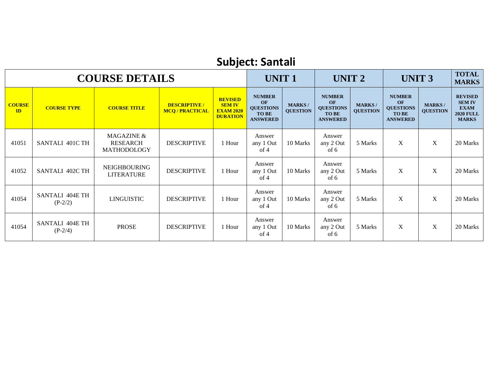# **Subject: Santali**

| <b>COURSE DETAILS</b> |                              |                                              |                                                |                                                                        | <b>UNIT1</b>                                                               |                                  | UNIT <sub>2</sub>                                                          |                                  | <b>UNIT 3</b>                                                              |                                  | <b>TOTAL</b><br><b>MARKS</b>                                                       |
|-----------------------|------------------------------|----------------------------------------------|------------------------------------------------|------------------------------------------------------------------------|----------------------------------------------------------------------------|----------------------------------|----------------------------------------------------------------------------|----------------------------------|----------------------------------------------------------------------------|----------------------------------|------------------------------------------------------------------------------------|
| <b>COURSE</b><br>ID   | <b>COURSE TYPE</b>           | <b>COURSE TITLE</b>                          | <b>DESCRIPTIVE /</b><br><b>MCQ / PRACTICAL</b> | <b>REVISED</b><br><b>SEM IV</b><br><b>EXAM 2020</b><br><b>DURATION</b> | <b>NUMBER</b><br>OF<br><b>QUESTIONS</b><br><b>TO BE</b><br><b>ANSWERED</b> | <b>MARKS/</b><br><b>QUESTION</b> | <b>NUMBER</b><br>OF<br><b>QUESTIONS</b><br><b>TO BE</b><br><b>ANSWERED</b> | <b>MARKS/</b><br><b>QUESTION</b> | <b>NUMBER</b><br>OF<br><b>QUESTIONS</b><br><b>TO BE</b><br><b>ANSWERED</b> | <b>MARKS/</b><br><b>QUESTION</b> | <b>REVISED</b><br><b>SEM IV</b><br><b>EXAM</b><br><b>2020 FULL</b><br><b>MARKS</b> |
| 41051                 | SANTALI 401C TH              | MAGAZINE &<br><b>RESEARCH</b><br>MATHODOLOGY | <b>DESCRIPTIVE</b>                             | 1 Hour                                                                 | Answer<br>any 1 Out<br>of 4                                                | 10 Marks                         | Answer<br>any 2 Out<br>of 6                                                | 5 Marks                          | X                                                                          | $\mathbf X$                      | 20 Marks                                                                           |
| 41052                 | SANTALI 402C TH              | <b>NEIGHBOURING</b><br><b>LITERATURE</b>     | <b>DESCRIPTIVE</b>                             | 1 Hour                                                                 | Answer<br>any 1 Out<br>of 4                                                | 10 Marks                         | Answer<br>any 2 Out<br>of 6                                                | 5 Marks                          | X                                                                          | X                                | 20 Marks                                                                           |
| 41054                 | SANTALI 404E TH<br>$(P-2/2)$ | LINGUISTIC                                   | <b>DESCRIPTIVE</b>                             | 1 Hour                                                                 | Answer<br>any 1 Out<br>of 4                                                | 10 Marks                         | Answer<br>any 2 Out<br>of 6                                                | 5 Marks                          | $\mathbf{X}$                                                               | X                                | 20 Marks                                                                           |
| 41054                 | SANTALI 404E TH<br>$(P-2/4)$ | <b>PROSE</b>                                 | <b>DESCRIPTIVE</b>                             | 1 Hour                                                                 | Answer<br>any 1 Out<br>of 4                                                | 10 Marks                         | Answer<br>any 2 Out<br>of 6                                                | 5 Marks                          | X                                                                          | X                                | 20 Marks                                                                           |